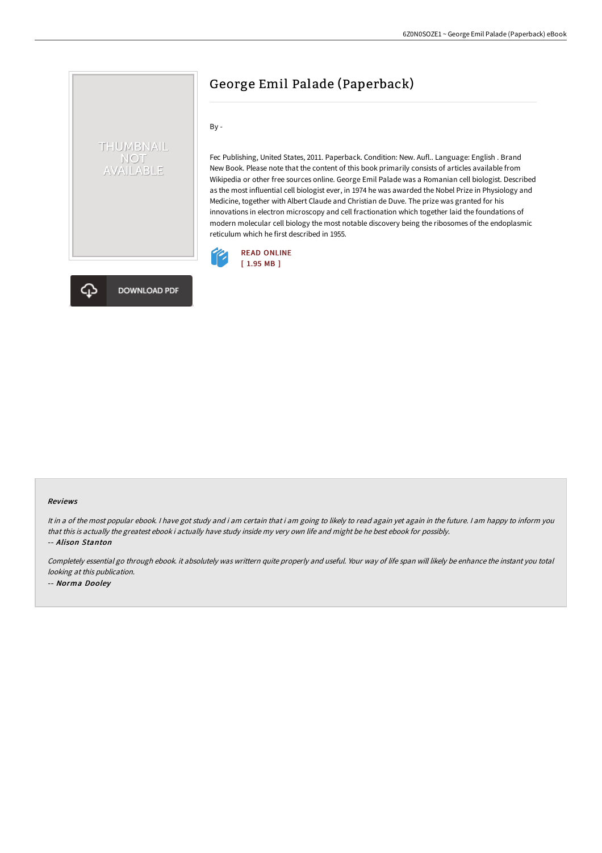# George Emil Palade (Paperback)

By -

Fec Publishing, United States, 2011. Paperback. Condition: New. Aufl.. Language: English . Brand New Book. Please note that the content of this book primarily consists of articles available from Wikipedia or other free sources online. George Emil Palade was a Romanian cell biologist. Described as the most influential cell biologist ever, in 1974 he was awarded the Nobel Prize in Physiology and Medicine, together with Albert Claude and Christian de Duve. The prize was granted for his innovations in electron microscopy and cell fractionation which together laid the foundations of modern molecular cell biology the most notable discovery being the ribosomes of the endoplasmic reticulum which he first described in 1955.





THUMBNAIL NOT<br>AVAILABLE

#### Reviews

It in a of the most popular ebook. I have got study and i am certain that i am going to likely to read again yet again in the future. I am happy to inform you that this is actually the greatest ebook i actually have study inside my very own life and might be he best ebook for possibly. -- Alison Stanton

Completely essential go through ebook. it absolutely was writtern quite properly and useful. Your way of life span will likely be enhance the instant you total looking at this publication. -- Norma Dooley